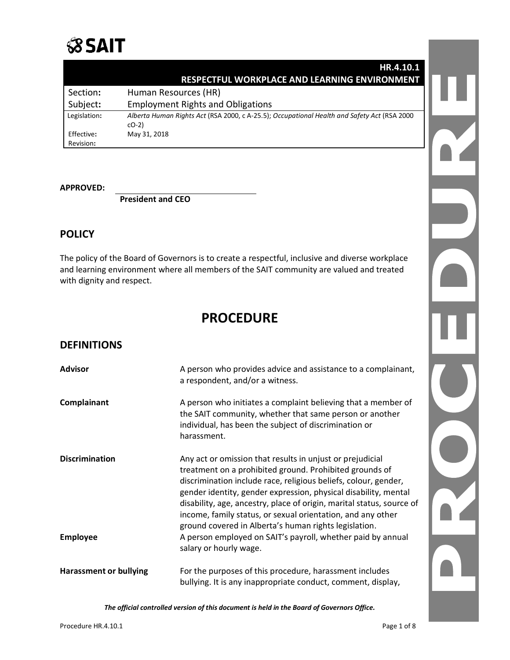## **SSAIT**

|                         | HR.4.10.1                                                                                             |  |
|-------------------------|-------------------------------------------------------------------------------------------------------|--|
|                         | RESPECTFUL WORKPLACE AND LEARNING ENVIRONMENT                                                         |  |
| Section:                | Human Resources (HR)                                                                                  |  |
| Subject:                | <b>Employment Rights and Obligations</b>                                                              |  |
| Legislation:            | Alberta Human Rights Act (RSA 2000, c A-25.5); Occupational Health and Safety Act (RSA 2000<br>$CO-2$ |  |
| Effective:<br>Revision: | May 31, 2018                                                                                          |  |

#### **APPROVED:**

**President and CEO**

#### **POLICY**

The policy of the Board of Governors is to create a respectful, inclusive and diverse workplace and learning environment where all members of the SAIT community are valued and treated with dignity and respect.

## **PROCEDURE**

#### **DEFINITIONS**

| Advisor                                  | A person who provides advice and assistance to a complainant,<br>a respondent, and/or a witness.                                                                                                                                                                                                                                                                                                                                                                                                                           |  |
|------------------------------------------|----------------------------------------------------------------------------------------------------------------------------------------------------------------------------------------------------------------------------------------------------------------------------------------------------------------------------------------------------------------------------------------------------------------------------------------------------------------------------------------------------------------------------|--|
| <b>Complainant</b>                       | A person who initiates a complaint believing that a member of<br>the SAIT community, whether that same person or another<br>individual, has been the subject of discrimination or<br>harassment.                                                                                                                                                                                                                                                                                                                           |  |
| <b>Discrimination</b><br><b>Employee</b> | Any act or omission that results in unjust or prejudicial<br>treatment on a prohibited ground. Prohibited grounds of<br>discrimination include race, religious beliefs, colour, gender,<br>gender identity, gender expression, physical disability, mental<br>disability, age, ancestry, place of origin, marital status, source of<br>income, family status, or sexual orientation, and any other<br>ground covered in Alberta's human rights legislation.<br>A person employed on SAIT's payroll, whether paid by annual |  |
|                                          | salary or hourly wage.                                                                                                                                                                                                                                                                                                                                                                                                                                                                                                     |  |
| <b>Harassment or bullying</b>            | For the purposes of this procedure, harassment includes<br>bullying. It is any inappropriate conduct, comment, display,                                                                                                                                                                                                                                                                                                                                                                                                    |  |

*The official controlled version of this document is held in the Board of Governors Office.*

Y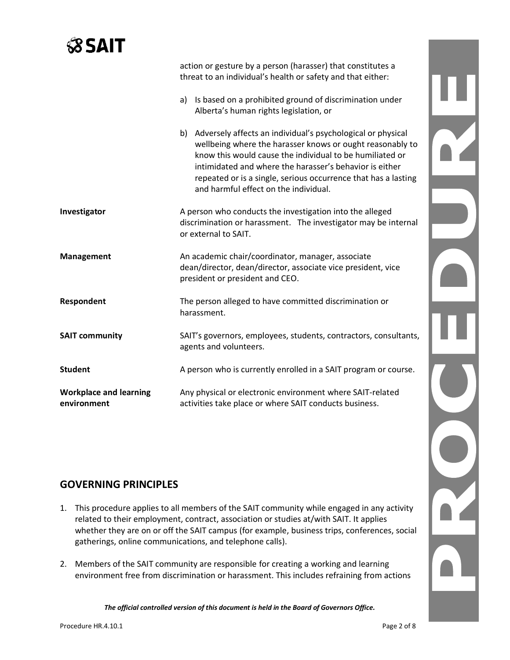# **SSAIT**

|                                              | action or gesture by a person (harasser) that constitutes a<br>threat to an individual's health or safety and that either:                                                                                                                                                                                                                                    |  |
|----------------------------------------------|---------------------------------------------------------------------------------------------------------------------------------------------------------------------------------------------------------------------------------------------------------------------------------------------------------------------------------------------------------------|--|
|                                              | Is based on a prohibited ground of discrimination under<br>a)<br>Alberta's human rights legislation, or                                                                                                                                                                                                                                                       |  |
|                                              | b) Adversely affects an individual's psychological or physical<br>wellbeing where the harasser knows or ought reasonably to<br>know this would cause the individual to be humiliated or<br>intimidated and where the harasser's behavior is either<br>repeated or is a single, serious occurrence that has a lasting<br>and harmful effect on the individual. |  |
| Investigator                                 | A person who conducts the investigation into the alleged<br>discrimination or harassment. The investigator may be internal<br>or external to SAIT.                                                                                                                                                                                                            |  |
| <b>Management</b>                            | An academic chair/coordinator, manager, associate<br>dean/director, dean/director, associate vice president, vice<br>president or president and CEO.                                                                                                                                                                                                          |  |
| Respondent                                   | The person alleged to have committed discrimination or<br>harassment.                                                                                                                                                                                                                                                                                         |  |
| <b>SAIT community</b>                        | SAIT's governors, employees, students, contractors, consultants,<br>agents and volunteers.                                                                                                                                                                                                                                                                    |  |
| <b>Student</b>                               | A person who is currently enrolled in a SAIT program or course.                                                                                                                                                                                                                                                                                               |  |
| <b>Workplace and learning</b><br>environment | Any physical or electronic environment where SAIT-related<br>activities take place or where SAIT conducts business.                                                                                                                                                                                                                                           |  |

### **GOVERNING PRINCIPLES**

- 1. This procedure applies to all members of the SAIT community while engaged in any activity related to their employment, contract, association or studies at/with SAIT. It applies whether they are on or off the SAIT campus (for example, business trips, conferences, social gatherings, online communications, and telephone calls).
- 2. Members of the SAIT community are responsible for creating a working and learning environment free from discrimination or harassment. This includes refraining from actions

*The official controlled version of this document is held in the Board of Governors Office.*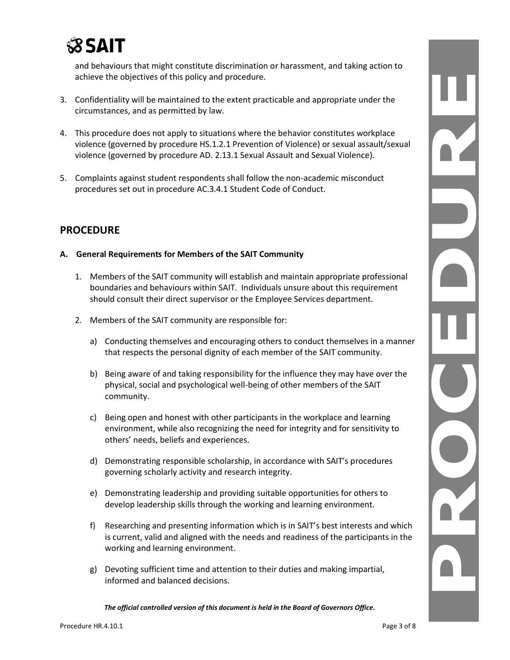

and behaviours that might constitute discrimination or harassment, and taking action to achieve the objectives of this policy and procedure.

- 3. Confidentiality will be maintained to the extent practicable and appropriate under the circumstances, and as permitted by law.
- 4. This procedure does not apply to situations where the behavior constitutes workplace violence (governed by procedure HS.1.2.1 Prevention of Violence) or sexual assault/sexual violence (governed by procedure AD. 2.13.1 Sexual Assault and Sexual Violence).
- 5. Complaints against student respondents shall follow the non-academic misconduct procedures set out in procedure AC.3.4.1 Student Code of Conduct.

#### **PROCEDURE**

- **A. General Requirements for Members of the SAIT Community** 
	- 1. Members of the SAIT community will establish and maintain appropriate professional boundaries and behaviours within SAIT. Individuals unsure about this requirement should consult their direct supervisor or the Employee Services department.
	- 2. Members of the SAIT community are responsible for:
		- a) Conducting themselves and encouraging others to conduct themselves in a manner that respects the personal dignity of each member of the SAIT community.
		- b) Being aware of and taking responsibility for the influence they may have over the physical, social and psychological well-being of other members of the SAIT community.
		- c) Being open and honest with other participants in the workplace and learning environment, while also recognizing the need for integrity and for sensitivity to others' needs, beliefs and experiences.
		- d) Demonstrating responsible scholarship, in accordance with SAIT's procedures governing scholarly activity and research integrity.
		- e) Demonstrating leadership and providing suitable opportunities for others to develop leadership skills through the working and learning environment.
		- f) Researching and presenting information which is in SAIT's best interests and which is current, valid and aligned with the needs and readiness of the participants in the working and learning environment.
		- g) Devoting sufficient time and attention to their duties and making impartial, informed and balanced decisions.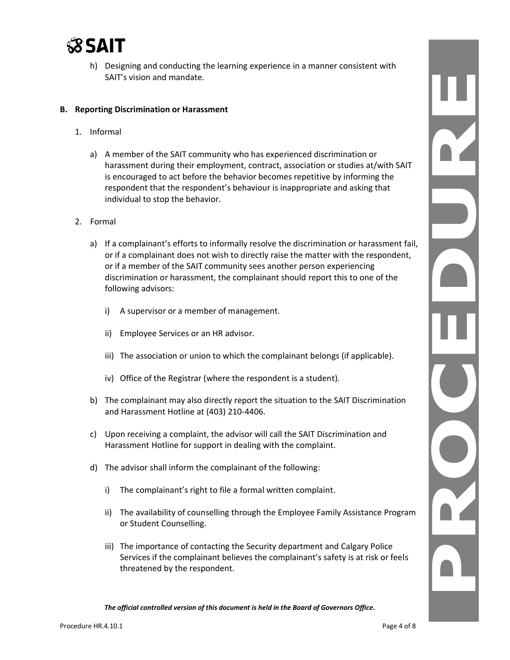

h) Designing and conducting the learning experience in a manner consistent with SAIT's vision and mandate.

#### **B. Reporting Discrimination or Harassment**

- 1. Informal
	- a) A member of the SAIT community who has experienced discrimination or harassment during their employment, contract, association or studies at/with SAIT is encouraged to act before the behavior becomes repetitive by informing the respondent that the respondent's behaviour is inappropriate and asking that individual to stop the behavior.
- 2. Formal
	- a) If a complainant's efforts to informally resolve the discrimination or harassment fail, or if a complainant does not wish to directly raise the matter with the respondent, or if a member of the SAIT community sees another person experiencing discrimination or harassment, the complainant should report this to one of the following advisors:
		- i) A supervisor or a member of management.
		- ii) Employee Services or an HR advisor.
		- iii) The association or union to which the complainant belongs (if applicable).
		- iv) Office of the Registrar (where the respondent is a student).
	- b) The complainant may also directly report the situation to the SAIT Discrimination and Harassment Hotline at (403) 210-4406.
	- c) Upon receiving a complaint, the advisor will call the SAIT Discrimination and Harassment Hotline for support in dealing with the complaint.
	- d) The advisor shall inform the complainant of the following:
		- i) The complainant's right to file a formal written complaint.
		- ii) The availability of counselling through the Employee Family Assistance Program or Student Counselling.
		- iii) The importance of contacting the Security department and Calgary Police Services if the complainant believes the complainant's safety is at risk or feels threatened by the respondent.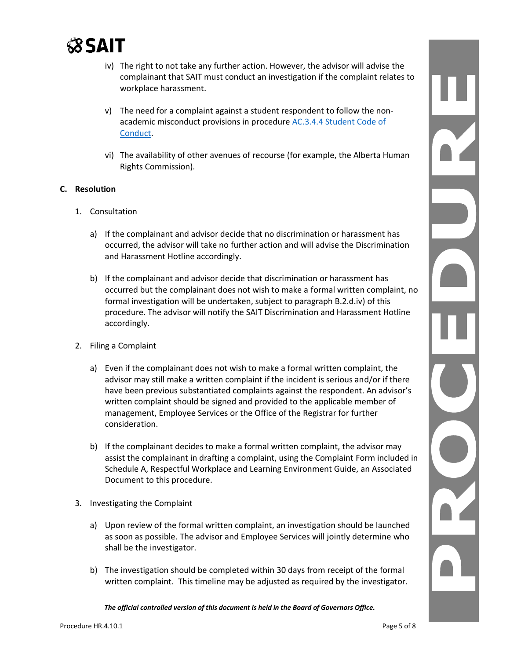

- iv) The right to not take any further action. However, the advisor will advise the complainant that SAIT must conduct an investigation if the complaint relates to workplace harassment.
- v) The need for a complaint against a student respondent to follow the nonacademic misconduct provisions in procedure AC.3.4.4 [Student Code of](https://www.sait.ca/assets/documents/about-sait/policies-and-procedures/academic-student/ac-3-4-4-student-non-academic-conduct.pdf)  [Conduct.](https://www.sait.ca/assets/documents/about-sait/policies-and-procedures/academic-student/ac-3-4-4-student-non-academic-conduct.pdf)
- vi) The availability of other avenues of recourse (for example, the Alberta Human Rights Commission).

#### **C. Resolution**

- 1. Consultation
	- a) If the complainant and advisor decide that no discrimination or harassment has occurred, the advisor will take no further action and will advise the Discrimination and Harassment Hotline accordingly.
	- b) If the complainant and advisor decide that discrimination or harassment has occurred but the complainant does not wish to make a formal written complaint, no formal investigation will be undertaken, subject to paragraph B.2.d.iv) of this procedure. The advisor will notify the SAIT Discrimination and Harassment Hotline accordingly.
- 2. Filing a Complaint
	- a) Even if the complainant does not wish to make a formal written complaint, the advisor may still make a written complaint if the incident is serious and/or if there have been previous substantiated complaints against the respondent. An advisor's written complaint should be signed and provided to the applicable member of management, Employee Services or the Office of the Registrar for further consideration.
	- b) If the complainant decides to make a formal written complaint, the advisor may assist the complainant in drafting a complaint, using the Complaint Form included in Schedule A, Respectful Workplace and Learning Environment Guide, an Associated Document to this procedure.
- 3. Investigating the Complaint
	- a) Upon review of the formal written complaint, an investigation should be launched as soon as possible. The advisor and Employee Services will jointly determine who shall be the investigator.
	- b) The investigation should be completed within 30 days from receipt of the formal written complaint. This timeline may be adjusted as required by the investigator.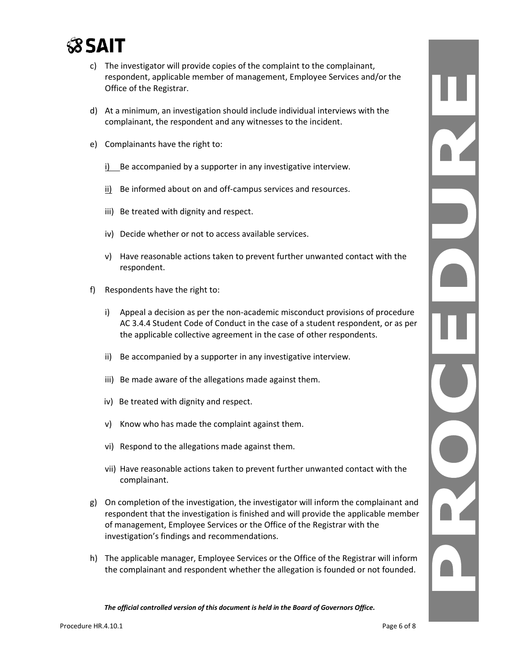

- c) The investigator will provide copies of the complaint to the complainant, respondent, applicable member of management, Employee Services and/or the Office of the Registrar.
- d) At a minimum, an investigation should include individual interviews with the complainant, the respondent and any witnesses to the incident.
- e) Complainants have the right to:
	- i) Be accompanied by a supporter in any investigative interview.
	- ii) Be informed about on and off-campus services and resources.
	- iii) Be treated with dignity and respect.
	- iv) Decide whether or not to access available services.
	- v) Have reasonable actions taken to prevent further unwanted contact with the respondent.
- f) Respondents have the right to:
	- i) Appeal a decision as per the non-academic misconduct provisions of procedure AC 3.4.4 Student Code of Conduct in the case of a student respondent, or as per the applicable collective agreement in the case of other respondents.
	- ii) Be accompanied by a supporter in any investigative interview.
	- iii) Be made aware of the allegations made against them.
	- iv) Be treated with dignity and respect.
	- v) Know who has made the complaint against them.
	- vi) Respond to the allegations made against them.
	- vii) Have reasonable actions taken to prevent further unwanted contact with the complainant.
- g) On completion of the investigation, the investigator will inform the complainant and respondent that the investigation is finished and will provide the applicable member of management, Employee Services or the Office of the Registrar with the investigation's findings and recommendations.
- h) The applicable manager, Employee Services or the Office of the Registrar will inform the complainant and respondent whether the allegation is founded or not founded.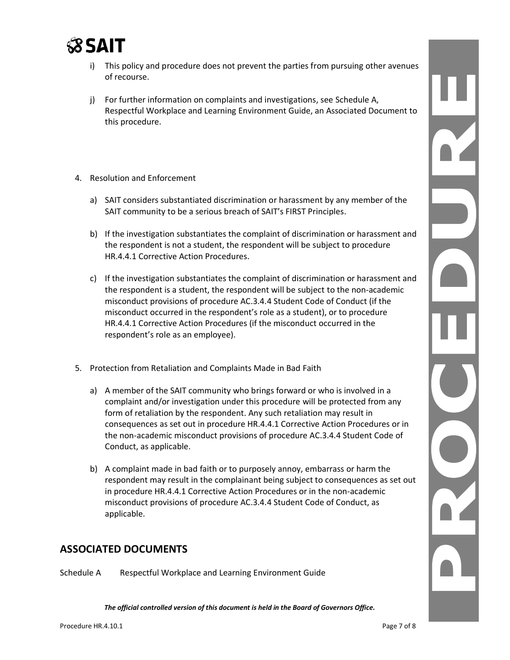

- i) This policy and procedure does not prevent the parties from pursuing other avenues of recourse.
- j) For further information on complaints and investigations, see Schedule A, Respectful Workplace and Learning Environment Guide, an Associated Document to this procedure.
- 4. Resolution and Enforcement
	- a) SAIT considers substantiated discrimination or harassment by any member of the SAIT community to be a serious breach of SAIT's FIRST Principles.
	- b) If the investigation substantiates the complaint of discrimination or harassment and the respondent is not a student, the respondent will be subject to procedure HR.4.4.1 Corrective Action Procedures.
	- c) If the investigation substantiates the complaint of discrimination or harassment and the respondent is a student, the respondent will be subject to the non-academic misconduct provisions of procedure AC.3.4.4 Student Code of Conduct (if the misconduct occurred in the respondent's role as a student), or to procedure HR.4.4.1 Corrective Action Procedures (if the misconduct occurred in the respondent's role as an employee).
- 5. Protection from Retaliation and Complaints Made in Bad Faith
	- a) A member of the SAIT community who brings forward or who is involved in a complaint and/or investigation under this procedure will be protected from any form of retaliation by the respondent. Any such retaliation may result in consequences as set out in procedure HR.4.4.1 Corrective Action Procedures or in the non-academic misconduct provisions of procedure AC.3.4.4 Student Code of Conduct, as applicable.
	- b) A complaint made in bad faith or to purposely annoy, embarrass or harm the respondent may result in the complainant being subject to consequences as set out in procedure HR.4.4.1 Corrective Action Procedures or in the non-academic misconduct provisions of procedure AC.3.4.4 Student Code of Conduct, as applicable.

### **ASSOCIATED DOCUMENTS**

Schedule A Respectful Workplace and Learning Environment Guide